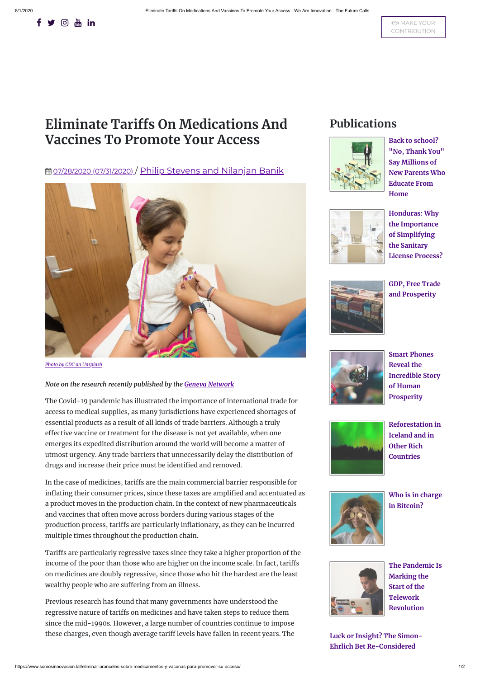# **Eliminate Tariffs On Medications And Vaccines To Promote Your Access**

**曲 07/28/2020 [\(07/31/2020\)](https://www.somosinnovacion.lat/eliminar-aranceles-sobre-medicamentos-y-vacunas-para-promover-su-acceso/) / Philip Stevens and [Nilanjan](https://www.somosinnovacion.lat/eliminar-aranceles-sobre-medicamentos-y-vacunas-para-promover-su-acceso/) Banik** 



The Covid-19 pandemic has illustrated the importance of international trade for access to medical supplies, as many jurisdictions have experienced shortages of essential products as a result of all kinds of trade barriers. Although a truly effective vaccine or treatment for the disease is not yet available, when one emerges its expedited distribution around the world will become a matter of utmost urgency. Any trade barriers that unnecessarily delay the distribution of drugs and increase their price must be identified and removed.

*Photo by CDC on [Unsplash](https://unsplash.com/photos/TDoPeUSOD1c)*

### *Note on the research recently published by the Geneva [Network](https://geneva-network.com/)*

In the case of medicines, tariffs are the main commercial barrier responsible for inflating their consumer prices, since these taxes are amplified and accentuated as a product moves in the production chain. In the context of new pharmaceuticals and vaccines that often move across borders during various stages of the production process, tariffs are particularly inflationary, as they can be incurred multiple times throughout the production chain.

Previous research has found that many governments have understood the regressive nature of tariffs on medicines and have taken steps to reduce them since the mid-1990s. However, a large number of countries continue to impose these charges, even though average tariff levels have fallen in recent years. The





## **Publications**



**Back to school? "No, Thank You" Say Millions of New Parents Who [Educate From](https://www.somosinnovacion.lat/volver-a-la-escuela-no-gracias-dicen-millones-de-nuevos-padres-que-educan-desde-la-casa/) Home**



**Honduras: Why the Importance of Simplifying the Sanitary [License Process?](https://www.somosinnovacion.lat/honduras-por-que-la-importancia-de-simplificar-el-tramite-de-licencia-sanitaria/)**



**GDP, Free Trade [and Prosperity](https://www.somosinnovacion.lat/pib-libre-comercio-y-prosperidad/)**



**Smart Phones Reveal the [Incredible Story](https://www.somosinnovacion.lat/los-telefonos-inteligentes-revelan-la-increible-historia-de-la-prosperidad-humana/) of Human Prosperity**



**Reforestation in [Iceland and in](https://www.somosinnovacion.lat/la-reforestacion-en-islandia-y-en-otros-paises-ricos/) Other Rich Countries**



**Who is in charge in [Bitcoin?](https://www.somosinnovacion.lat/quien-manda-en-bitcoin/)**

Tariffs are particularly regressive taxes since they take a higher proportion of the income of the poor than those who are higher on the income scale. In fact, tariffs on medicines are doubly regressive, since those who hit the hardest are the least wealthy people who are suffering from an illness.

**[The Pandemic](https://www.somosinnovacion.lat/la-pandemia-esta-marcando-el-inicio-de-la-revolucion-del-teletrabajo/) Is Marking the Start of the Telework Revolution**

**Luck or Insight? The Simon-Ehrlich Bet [Re-Considered](https://www.somosinnovacion.lat/suerte-o-perspicacia-la-apuesta-simon-ehrlich-re-considerada/)**